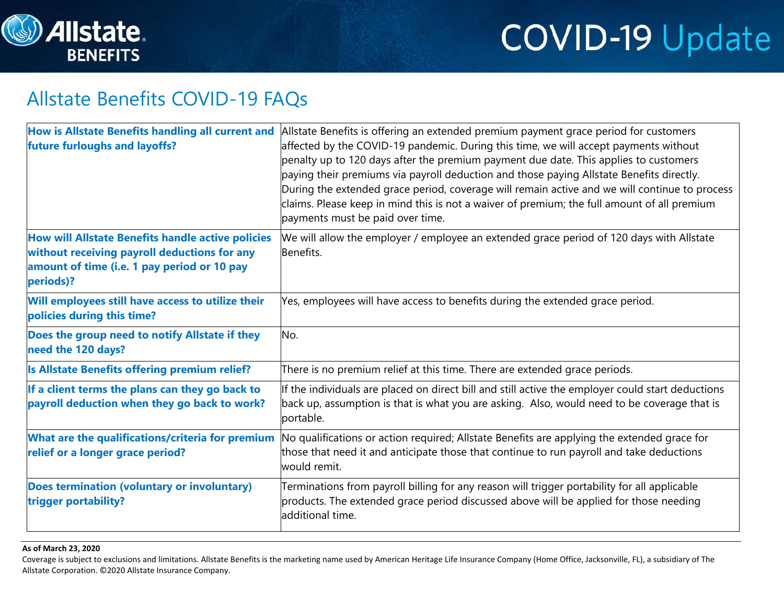

### Allstate Benefits COVID-19 FAQs

| How is Allstate Benefits handling all current and<br>future furloughs and layoffs?                                                                            | Allstate Benefits is offering an extended premium payment grace period for customers<br>affected by the COVID-19 pandemic. During this time, we will accept payments without<br>penalty up to 120 days after the premium payment due date. This applies to customers<br>paying their premiums via payroll deduction and those paying Allstate Benefits directly.<br>During the extended grace period, coverage will remain active and we will continue to process<br>claims. Please keep in mind this is not a waiver of premium; the full amount of all premium<br>payments must be paid over time. |
|---------------------------------------------------------------------------------------------------------------------------------------------------------------|------------------------------------------------------------------------------------------------------------------------------------------------------------------------------------------------------------------------------------------------------------------------------------------------------------------------------------------------------------------------------------------------------------------------------------------------------------------------------------------------------------------------------------------------------------------------------------------------------|
| How will Allstate Benefits handle active policies<br>without receiving payroll deductions for any<br>amount of time (i.e. 1 pay period or 10 pay<br>periods)? | We will allow the employer / employee an extended grace period of 120 days with Allstate<br>Benefits.                                                                                                                                                                                                                                                                                                                                                                                                                                                                                                |
| Will employees still have access to utilize their<br>policies during this time?                                                                               | Yes, employees will have access to benefits during the extended grace period.                                                                                                                                                                                                                                                                                                                                                                                                                                                                                                                        |
| Does the group need to notify Allstate if they<br>need the 120 days?                                                                                          | No.                                                                                                                                                                                                                                                                                                                                                                                                                                                                                                                                                                                                  |
| Is Allstate Benefits offering premium relief?                                                                                                                 | There is no premium relief at this time. There are extended grace periods.                                                                                                                                                                                                                                                                                                                                                                                                                                                                                                                           |
| If a client terms the plans can they go back to<br>payroll deduction when they go back to work?                                                               | If the individuals are placed on direct bill and still active the employer could start deductions<br>back up, assumption is that is what you are asking. Also, would need to be coverage that is<br>portable.                                                                                                                                                                                                                                                                                                                                                                                        |
| What are the qualifications/criteria for premium<br>relief or a longer grace period?                                                                          | No qualifications or action required; Allstate Benefits are applying the extended grace for<br>those that need it and anticipate those that continue to run payroll and take deductions<br>would remit.                                                                                                                                                                                                                                                                                                                                                                                              |
| Does termination (voluntary or involuntary)<br>trigger portability?                                                                                           | Terminations from payroll billing for any reason will trigger portability for all applicable<br>products. The extended grace period discussed above will be applied for those needing<br>additional time.                                                                                                                                                                                                                                                                                                                                                                                            |

### **As of March 23, 2020**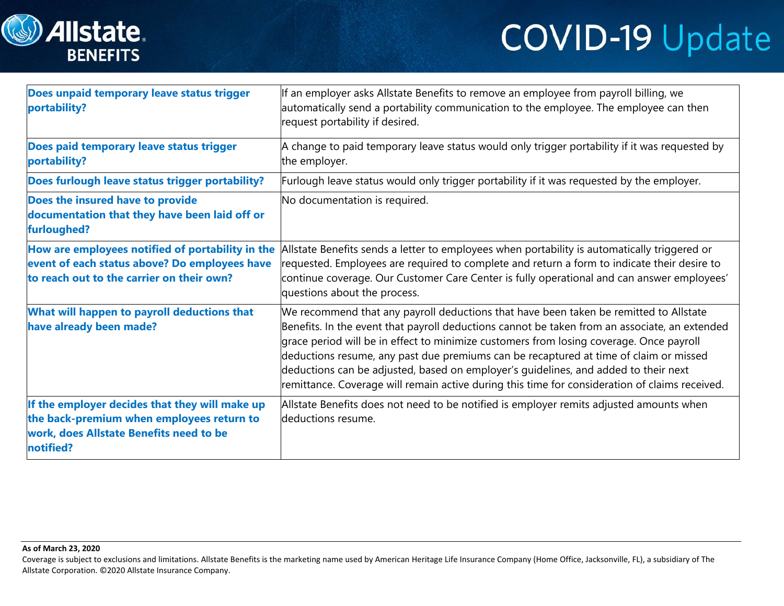



| Does unpaid temporary leave status trigger<br>portability?                                                                                          | If an employer asks Allstate Benefits to remove an employee from payroll billing, we<br>automatically send a portability communication to the employee. The employee can then<br>request portability if desired.                                                                                                                                                                                                                                                                                                                                                    |
|-----------------------------------------------------------------------------------------------------------------------------------------------------|---------------------------------------------------------------------------------------------------------------------------------------------------------------------------------------------------------------------------------------------------------------------------------------------------------------------------------------------------------------------------------------------------------------------------------------------------------------------------------------------------------------------------------------------------------------------|
| Does paid temporary leave status trigger<br>portability?                                                                                            | A change to paid temporary leave status would only trigger portability if it was requested by<br>the employer.                                                                                                                                                                                                                                                                                                                                                                                                                                                      |
| Does furlough leave status trigger portability?                                                                                                     | Furlough leave status would only trigger portability if it was requested by the employer.                                                                                                                                                                                                                                                                                                                                                                                                                                                                           |
| Does the insured have to provide<br>documentation that they have been laid off or<br>furloughed?                                                    | No documentation is required.                                                                                                                                                                                                                                                                                                                                                                                                                                                                                                                                       |
| How are employees notified of portability in the<br>event of each status above? Do employees have<br>to reach out to the carrier on their own?      | Allstate Benefits sends a letter to employees when portability is automatically triggered or<br>requested. Employees are required to complete and return a form to indicate their desire to<br>continue coverage. Our Customer Care Center is fully operational and can answer employees'<br>questions about the process.                                                                                                                                                                                                                                           |
| What will happen to payroll deductions that<br>have already been made?                                                                              | We recommend that any payroll deductions that have been taken be remitted to Allstate<br>Benefits. In the event that payroll deductions cannot be taken from an associate, an extended<br>grace period will be in effect to minimize customers from losing coverage. Once payroll<br>deductions resume, any past due premiums can be recaptured at time of claim or missed<br>deductions can be adjusted, based on employer's quidelines, and added to their next<br>remittance. Coverage will remain active during this time for consideration of claims received. |
| If the employer decides that they will make up<br>the back-premium when employees return to<br>work, does Allstate Benefits need to be<br>notified? | Allstate Benefits does not need to be notified is employer remits adjusted amounts when<br>deductions resume.                                                                                                                                                                                                                                                                                                                                                                                                                                                       |

#### **As of March 23, 2020**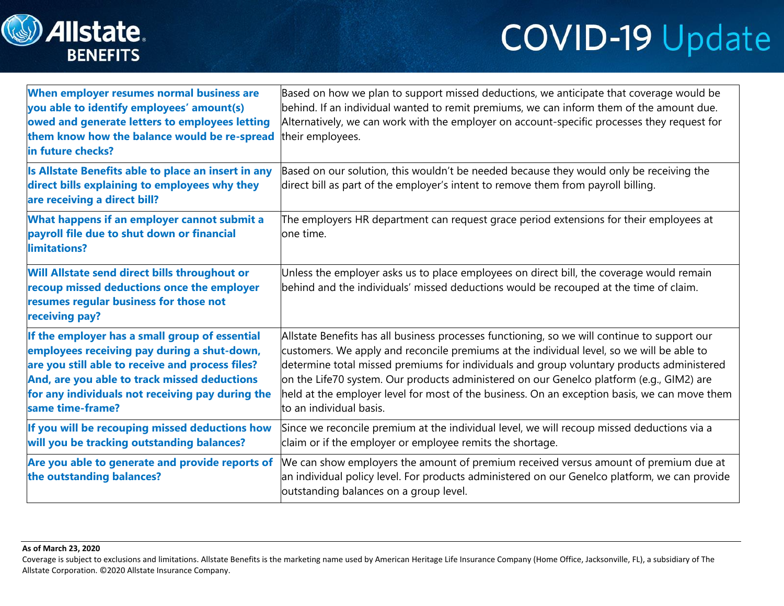

# **COVID-19 Update**

| When employer resumes normal business are<br>you able to identify employees' amount(s)<br>owed and generate letters to employees letting<br>them know how the balance would be re-spread<br>in future checks?                                                             | Based on how we plan to support missed deductions, we anticipate that coverage would be<br>behind. If an individual wanted to remit premiums, we can inform them of the amount due.<br>Alternatively, we can work with the employer on account-specific processes they request for<br>their employees.                                                                                                                                                                                                        |
|---------------------------------------------------------------------------------------------------------------------------------------------------------------------------------------------------------------------------------------------------------------------------|---------------------------------------------------------------------------------------------------------------------------------------------------------------------------------------------------------------------------------------------------------------------------------------------------------------------------------------------------------------------------------------------------------------------------------------------------------------------------------------------------------------|
| Is Allstate Benefits able to place an insert in any<br>direct bills explaining to employees why they<br>are receiving a direct bill?                                                                                                                                      | Based on our solution, this wouldn't be needed because they would only be receiving the<br>direct bill as part of the employer's intent to remove them from payroll billing.                                                                                                                                                                                                                                                                                                                                  |
| What happens if an employer cannot submit a<br>payroll file due to shut down or financial<br>limitations?                                                                                                                                                                 | The employers HR department can request grace period extensions for their employees at<br>one time.                                                                                                                                                                                                                                                                                                                                                                                                           |
| Will Allstate send direct bills throughout or<br>recoup missed deductions once the employer<br>resumes regular business for those not<br>receiving pay?                                                                                                                   | Unless the employer asks us to place employees on direct bill, the coverage would remain<br>behind and the individuals' missed deductions would be recouped at the time of claim.                                                                                                                                                                                                                                                                                                                             |
| If the employer has a small group of essential<br>employees receiving pay during a shut-down,<br>are you still able to receive and process files?<br>And, are you able to track missed deductions<br>for any individuals not receiving pay during the<br>same time-frame? | Allstate Benefits has all business processes functioning, so we will continue to support our<br>customers. We apply and reconcile premiums at the individual level, so we will be able to<br>determine total missed premiums for individuals and group voluntary products administered<br>on the Life70 system. Our products administered on our Genelco platform (e.g., GIM2) are<br>held at the employer level for most of the business. On an exception basis, we can move them<br>to an individual basis. |
| If you will be recouping missed deductions how<br>will you be tracking outstanding balances?                                                                                                                                                                              | Since we reconcile premium at the individual level, we will recoup missed deductions via a<br>claim or if the employer or employee remits the shortage.                                                                                                                                                                                                                                                                                                                                                       |
| Are you able to generate and provide reports of<br>the outstanding balances?                                                                                                                                                                                              | We can show employers the amount of premium received versus amount of premium due at<br>an individual policy level. For products administered on our Genelco platform, we can provide<br>outstanding balances on a group level.                                                                                                                                                                                                                                                                               |

#### **As of March 23, 2020**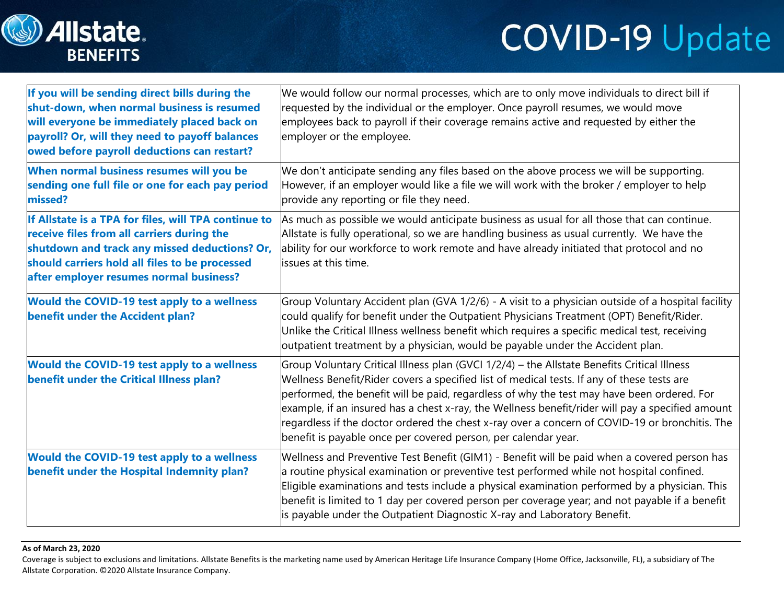

# **COVID-19 Update**

| If you will be sending direct bills during the<br>shut-down, when normal business is resumed<br>will everyone be immediately placed back on<br>payroll? Or, will they need to payoff balances<br>owed before payroll deductions can restart?     | We would follow our normal processes, which are to only move individuals to direct bill if<br>requested by the individual or the employer. Once payroll resumes, we would move<br>employees back to payroll if their coverage remains active and requested by either the<br>employer or the employee.                                                                                                                                                                                                                                                           |
|--------------------------------------------------------------------------------------------------------------------------------------------------------------------------------------------------------------------------------------------------|-----------------------------------------------------------------------------------------------------------------------------------------------------------------------------------------------------------------------------------------------------------------------------------------------------------------------------------------------------------------------------------------------------------------------------------------------------------------------------------------------------------------------------------------------------------------|
| When normal business resumes will you be<br>sending one full file or one for each pay period<br>missed?                                                                                                                                          | We don't anticipate sending any files based on the above process we will be supporting.<br>However, if an employer would like a file we will work with the broker / employer to help<br>provide any reporting or file they need.                                                                                                                                                                                                                                                                                                                                |
| If Allstate is a TPA for files, will TPA continue to<br>receive files from all carriers during the<br>shutdown and track any missed deductions? Or,<br>should carriers hold all files to be processed<br>after employer resumes normal business? | As much as possible we would anticipate business as usual for all those that can continue.<br>Allstate is fully operational, so we are handling business as usual currently. We have the<br>ability for our workforce to work remote and have already initiated that protocol and no<br>issues at this time.                                                                                                                                                                                                                                                    |
| <b>Would the COVID-19 test apply to a wellness</b><br>benefit under the Accident plan?                                                                                                                                                           | Group Voluntary Accident plan (GVA 1/2/6) - A visit to a physician outside of a hospital facility<br>could qualify for benefit under the Outpatient Physicians Treatment (OPT) Benefit/Rider.<br>Unlike the Critical Illness wellness benefit which requires a specific medical test, receiving<br>outpatient treatment by a physician, would be payable under the Accident plan.                                                                                                                                                                               |
| <b>Would the COVID-19 test apply to a wellness</b><br>benefit under the Critical Illness plan?                                                                                                                                                   | Group Voluntary Critical Illness plan (GVCI 1/2/4) - the Allstate Benefits Critical Illness<br>Wellness Benefit/Rider covers a specified list of medical tests. If any of these tests are<br>performed, the benefit will be paid, regardless of why the test may have been ordered. For<br>example, if an insured has a chest x-ray, the Wellness benefit/rider will pay a specified amount<br>regardless if the doctor ordered the chest x-ray over a concern of COVID-19 or bronchitis. The<br>benefit is payable once per covered person, per calendar year. |
| Would the COVID-19 test apply to a wellness<br>benefit under the Hospital Indemnity plan?                                                                                                                                                        | Wellness and Preventive Test Benefit (GIM1) - Benefit will be paid when a covered person has<br>$ a$ routine physical examination or preventive test performed while not hospital confined.<br>Eligible examinations and tests include a physical examination performed by a physician. This<br>benefit is limited to 1 day per covered person per coverage year; and not payable if a benefit<br>is payable under the Outpatient Diagnostic X-ray and Laboratory Benefit.                                                                                      |

#### **As of March 23, 2020**